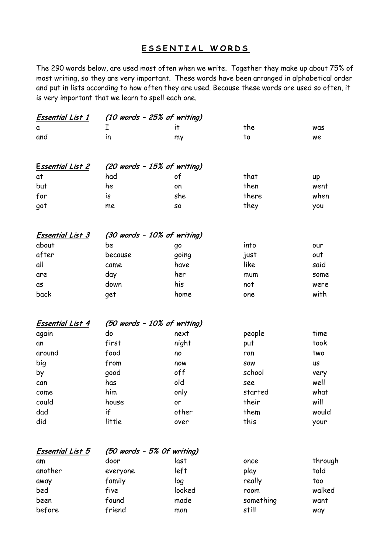## **E S S E N T I A L W O R D S**

The 290 words below, are used most often when we write. Together they make up about 75% of most writing, so they are very important. These words have been arranged in alphabetical order and put in lists according to how often they are used. Because these words are used so often, it is very important that we learn to spell each one.

| <u>Essential List 1</u> | $(10$ words - 25% of writing) |        |           |           |  |  |  |  |
|-------------------------|-------------------------------|--------|-----------|-----------|--|--|--|--|
| a                       | I                             | it.    | the       | was       |  |  |  |  |
| and                     | in                            | my     | to        | we        |  |  |  |  |
| <u>Essential List 2</u> | $(20$ words - 15% of writing) |        |           |           |  |  |  |  |
| at                      | had                           | of     | that      | up        |  |  |  |  |
| but                     | he                            | on     | then      | went      |  |  |  |  |
| for                     | is                            | she    | there     | when      |  |  |  |  |
| got                     | me                            | S0     | they      | you       |  |  |  |  |
| <b>Essential List 3</b> | (30 words - 10% of writing)   |        |           |           |  |  |  |  |
| about                   | be                            | go     | into      | our       |  |  |  |  |
| after                   | because                       | going  | just      | out       |  |  |  |  |
| all                     | came                          | have   | like      | said      |  |  |  |  |
| are                     | day                           | her    | mum       | some      |  |  |  |  |
| as                      | down                          | his    | not       | were      |  |  |  |  |
| back                    | get                           | home   | one       | with      |  |  |  |  |
| <b>Essential List 4</b> | (50 words - 10% of writing)   |        |           |           |  |  |  |  |
| again                   | do                            | next   | people    | time      |  |  |  |  |
| an                      | first                         | night  | put       | took      |  |  |  |  |
| around                  | food                          | no     | ran       | two       |  |  |  |  |
| big                     | from                          | now    | saw       | <b>US</b> |  |  |  |  |
| by                      | good                          | off    | school    | very      |  |  |  |  |
| can                     | has                           | old    | see       | well      |  |  |  |  |
| come                    | him                           | only   | started   | what      |  |  |  |  |
| could                   | house                         | or     | their     | will      |  |  |  |  |
| dad                     | if                            | other  | them      | would     |  |  |  |  |
| did                     | little                        | over   | this      | your      |  |  |  |  |
| <b>Essential List 5</b> | (50 words - 5% Of writing)    |        |           |           |  |  |  |  |
| αm                      | door                          | last   | once      | through   |  |  |  |  |
| another                 | everyone                      | left   | play      | told      |  |  |  |  |
| away                    | family                        | log    | really    | too       |  |  |  |  |
| bed                     | five                          | looked | room      | walked    |  |  |  |  |
| been                    | found                         | made   | something | want      |  |  |  |  |
| before                  | friend                        | man    | still     | way       |  |  |  |  |